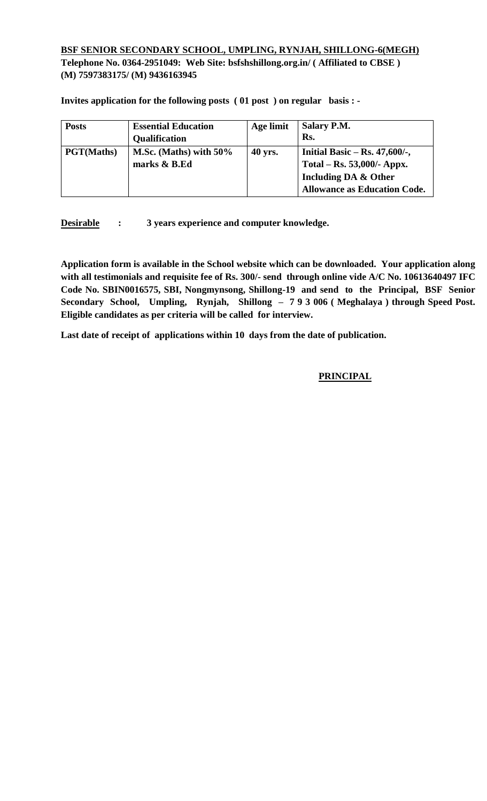## **BSF SENIOR SECONDARY SCHOOL, UMPLING, RYNJAH, SHILLONG-6(MEGH) Telephone No. 0364-2951049: Web Site: bsfshshillong.org.in/ ( Affiliated to CBSE ) (M) 7597383175/ (M) 9436163945**

**Invites application for the following posts ( 01 post ) on regular basis : -**

| <b>Posts</b>      | <b>Essential Education</b><br><b>Qualification</b> | Age limit | <b>Salary P.M.</b><br>Rs.                                                                                                     |
|-------------------|----------------------------------------------------|-----------|-------------------------------------------------------------------------------------------------------------------------------|
| <b>PGT(Maths)</b> | M.Sc. (Maths) with $50\%$<br>marks & B.Ed          | 40 yrs.   | Initial Basic – Rs. $47,600/$ -,<br>Total – Rs. 53,000/- Appx.<br>Including DA & Other<br><b>Allowance as Education Code.</b> |

**Desirable : 3 years experience and computer knowledge.** 

**Application form is available in the School website which can be downloaded. Your application along with all testimonials and requisite fee of Rs. 300/- send through online vide A/C No. 10613640497 IFC Code No. SBIN0016575, SBI, Nongmynsong, Shillong-19 and send to the Principal, BSF Senior Secondary School, Umpling, Rynjah, Shillong – 7 9 3 006 ( Meghalaya ) through Speed Post. Eligible candidates as per criteria will be called for interview.** 

**Last date of receipt of applications within 10 days from the date of publication.** 

#### **PRINCIPAL**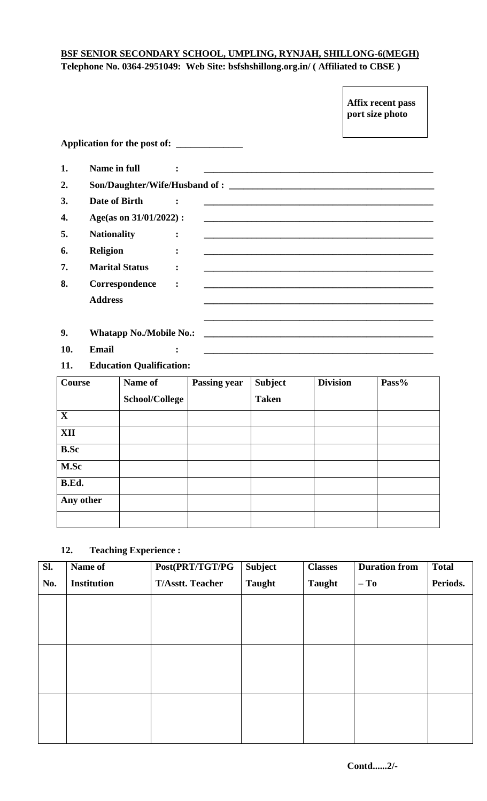# **BSF SENIOR SECONDARY SCHOOL, UMPLING, RYNJAH, SHILLONG-6(MEGH) Telephone No. 0364-2951049: Web Site: bsfshshillong.org.in/ ( Affiliated to CBSE )**

|     |                                |                |                                                                                                                       | port size photo                                                                                                      |
|-----|--------------------------------|----------------|-----------------------------------------------------------------------------------------------------------------------|----------------------------------------------------------------------------------------------------------------------|
|     |                                |                |                                                                                                                       |                                                                                                                      |
| 1.  | Name in full                   |                |                                                                                                                       |                                                                                                                      |
| 2.  |                                |                |                                                                                                                       |                                                                                                                      |
| 3.  | Date of Birth                  |                |                                                                                                                       |                                                                                                                      |
| 4.  | Age(as on 31/01/2022):         |                |                                                                                                                       |                                                                                                                      |
| 5.  | <b>Nationality</b>             | $\ddot{\cdot}$ | and the control of the control of the control of the control of the control of the control of the control of the      |                                                                                                                      |
| 6.  | <b>Religion</b>                |                |                                                                                                                       |                                                                                                                      |
| 7.  | <b>Marital Status</b>          |                |                                                                                                                       | and the control of the control of the control of the control of the control of the control of the control of the     |
| 8.  | Correspondence                 |                |                                                                                                                       | <u> 1980 - Andrea Brasil, amerikan basar basar dan berasal dalam basar basar dalam basar dalam basar dalam basar</u> |
|     | <b>Address</b>                 |                | and the control of the control of the control of the control of the control of the control of the control of the      |                                                                                                                      |
|     |                                |                |                                                                                                                       |                                                                                                                      |
| 9.  | <b>Whatapp No./Mobile No.:</b> |                | <u> 1980 - Johann Barn, mars ann an t-Amhain an t-Amhain an t-Amhain an t-Amhain an t-Amhain an t-Amhain an t-Amh</u> |                                                                                                                      |
| 10. | <b>Email</b>                   | $\ddot{\cdot}$ |                                                                                                                       |                                                                                                                      |

**11. Education Qualification:**

| Course       | Name of               | <b>Passing year</b> | <b>Subject</b> | <b>Division</b> | Pass% |
|--------------|-----------------------|---------------------|----------------|-----------------|-------|
|              | <b>School/College</b> |                     | <b>Taken</b>   |                 |       |
| $\mathbf{X}$ |                       |                     |                |                 |       |
| <b>XII</b>   |                       |                     |                |                 |       |
| <b>B.Sc</b>  |                       |                     |                |                 |       |
| M.Sc         |                       |                     |                |                 |       |
| B.Ed.        |                       |                     |                |                 |       |
| Any other    |                       |                     |                |                 |       |
|              |                       |                     |                |                 |       |

## **12. Teaching Experience :**

| Sl. | Name of            | Post(PRT/TGT/PG         | <b>Subject</b> | <b>Classes</b> | <b>Duration from</b> | <b>Total</b> |
|-----|--------------------|-------------------------|----------------|----------------|----------------------|--------------|
| No. | <b>Institution</b> | <b>T/Asstt. Teacher</b> | <b>Taught</b>  | <b>Taught</b>  | $-$ To               | Periods.     |
|     |                    |                         |                |                |                      |              |
|     |                    |                         |                |                |                      |              |
|     |                    |                         |                |                |                      |              |
|     |                    |                         |                |                |                      |              |
|     |                    |                         |                |                |                      |              |
|     |                    |                         |                |                |                      |              |
|     |                    |                         |                |                |                      |              |
|     |                    |                         |                |                |                      |              |
|     |                    |                         |                |                |                      |              |

**Affix recent pass**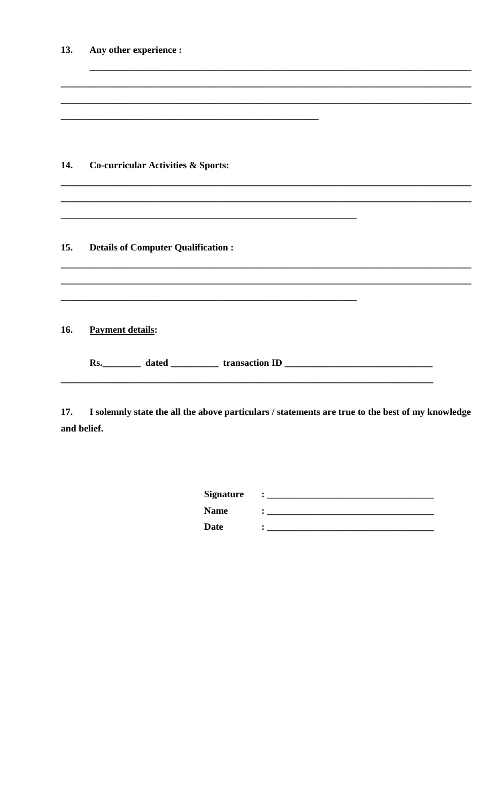| <b>13.</b> | Any other experience :                                                            |
|------------|-----------------------------------------------------------------------------------|
| 14.        | <b>Co-curricular Activities &amp; Sports:</b>                                     |
| 15.        |                                                                                   |
|            | <b>Details of Computer Qualification:</b>                                         |
| 16.        | <b>Payment details:</b>                                                           |
|            | Rs. __________ dated ______________ transaction ID ______________________________ |

I solemnly state the all the above particulars / statements are true to the best of my knowledge 17. and belief.

| <b>Signature</b> | ٠ |
|------------------|---|
| <b>Name</b>      |   |
| <b>Date</b>      |   |